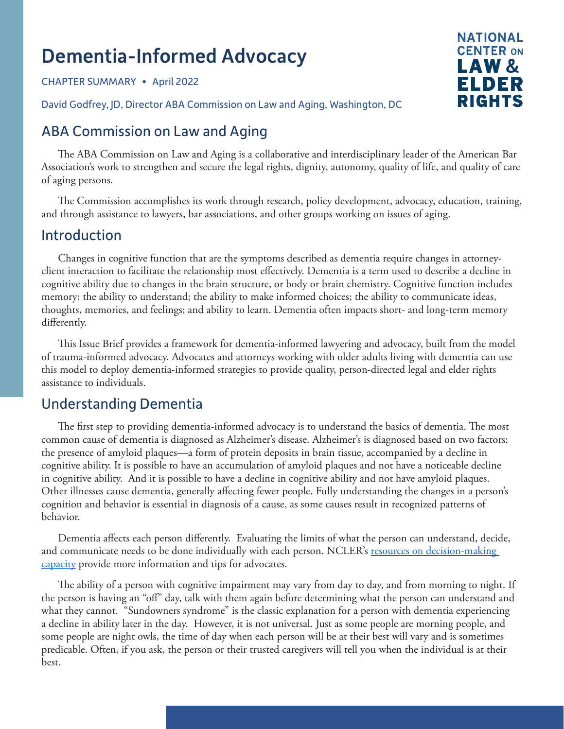# Dementia-Informed Advocacy

CHAPTER SUMMARY • April 2022

David Godfrey, JD, Director ABA Commission on Law and Aging, Washington, DC

# ABA Commission on Law and Aging

The ABA Commission on Law and Aging is a collaborative and interdisciplinary leader of the American Bar Association's work to strengthen and secure the legal rights, dignity, autonomy, quality of life, and quality of care of aging persons.

**NATIONAL CENTER ON** LAW & FLDER RIGHTS

The Commission accomplishes its work through research, policy development, advocacy, education, training, and through assistance to lawyers, bar associations, and other groups working on issues of aging.

### Introduction

Changes in cognitive function that are the symptoms described as dementia require changes in attorneyclient interaction to facilitate the relationship most effectively. Dementia is a term used to describe a decline in cognitive ability due to changes in the brain structure, or body or brain chemistry. Cognitive function includes memory; the ability to understand; the ability to make informed choices; the ability to communicate ideas, thoughts, memories, and feelings; and ability to learn. Dementia often impacts short- and long-term memory differently.

This Issue Brief provides a framework for dementia-informed lawyering and advocacy, built from the model of trauma-informed advocacy. Advocates and attorneys working with older adults living with dementia can use this model to deploy dementia-informed strategies to provide quality, person-directed legal and elder rights assistance to individuals.

### Understanding Dementia

The first step to providing dementia-informed advocacy is to understand the basics of dementia. The most common cause of dementia is diagnosed as Alzheimer's disease. Alzheimer's is diagnosed based on two factors: the presence of amyloid plaques—a form of protein deposits in brain tissue, accompanied by a decline in cognitive ability. It is possible to have an accumulation of amyloid plaques and not have a noticeable decline in cognitive ability. And it is possible to have a decline in cognitive ability and not have amyloid plaques. Other illnesses cause dementia, generally affecting fewer people. Fully understanding the changes in a person's cognition and behavior is essential in diagnosis of a cause, as some causes result in recognized patterns of behavior.

Dementia affects each person differently. Evaluating the limits of what the person can understand, decide, and communicate needs to be done individually with each person. NCLER's resources on decision-making [capacity](https://ncler.acl.gov/Legal-Training/Advance-Care-Planning.aspx) provide more information and tips for advocates.

The ability of a person with cognitive impairment may vary from day to day, and from morning to night. If the person is having an "off" day, talk with them again before determining what the person can understand and what they cannot. "Sundowners syndrome" is the classic explanation for a person with dementia experiencing a decline in ability later in the day. However, it is not universal. Just as some people are morning people, and some people are night owls, the time of day when each person will be at their best will vary and is sometimes predicable. Often, if you ask, the person or their trusted caregivers will tell you when the individual is at their best.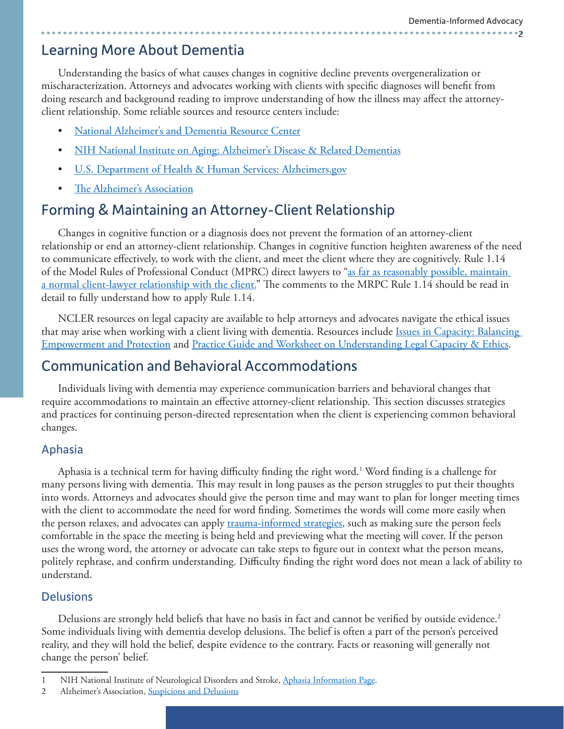# Learning More About Dementia

Understanding the basics of what causes changes in cognitive decline prevents overgeneralization or mischaracterization. Attorneys and advocates working with clients with specific diagnoses will benefit from doing research and background reading to improve understanding of how the illness may affect the attorneyclient relationship. Some reliable sources and resource centers include:

- **[National Alzheimer's and Dementia Resource Center](https://nadrc.acl.gov/)**
- [NIH National Institute on Aging: Alzheimer's Disease & Related Dementias](https://www.nia.nih.gov/health/alzheimers)
- **[U.S. Department of Health & Human Services: Alzheimers.gov](https://www.alzheimers.gov/)**
- [The Alzheimer's Association](https://www.alz.org/)

# Forming & Maintaining an Attorney-Client Relationship

Changes in cognitive function or a diagnosis does not prevent the formation of an attorney-client relationship or end an attorney-client relationship. Changes in cognitive function heighten awareness of the need to communicate effectively, to work with the client, and meet the client where they are cognitively. Rule 1.14 of the Model Rules of Professional Conduct (MPRC) direct lawyers to "<u>as far as reasonably possible, maintain</u> [a normal client-lawyer relationship with the client."](https://www.americanbar.org/groups/professional_responsibility/publications/model_rules_of_professional_conduct/rule_1_14_client_with_diminished_capacity/) The comments to the MRPC Rule 1.14 should be read in detail to fully understand how to apply Rule 1.14.

NCLER resources on legal capacity are available to help attorneys and advocates navigate the ethical issues that may arise when working with a client living with dementia. Resources include *Issues in Capacity: Balancing* [Empowerment and Protection](https://ncler.acl.gov/getattachment/ElderJustice-Toolkit/Navigating-Ethical-Issues-Complex-Situations/Capacity-Ch-Summary.pdf.aspx?lang=en-US) and [Practice Guide and Worksheet on Understanding Legal Capacity & Ethics](https://ncler.acl.gov/pdf/Capacity%20Ethics%20Practice%20Guide.pdf).

# Communication and Behavioral Accommodations

Individuals living with dementia may experience communication barriers and behavioral changes that require accommodations to maintain an effective attorney-client relationship. This section discusses strategies and practices for continuing person-directed representation when the client is experiencing common behavioral changes.

#### Aphasia

Aphasia is a technical term for having difficulty finding the right word.<sup>1</sup> Word finding is a challenge for many persons living with dementia. This may result in long pauses as the person struggles to put their thoughts into words. Attorneys and advocates should give the person time and may want to plan for longer meeting times with the client to accommodate the need for word finding. Sometimes the words will come more easily when the person relaxes, and advocates can apply [trauma-informed strategies,](https://ncler.acl.gov/Files/Trauma-Informed-Lawyering.aspx) such as making sure the person feels comfortable in the space the meeting is being held and previewing what the meeting will cover. If the person uses the wrong word, the attorney or advocate can take steps to figure out in context what the person means, politely rephrase, and confirm understanding. Difficulty finding the right word does not mean a lack of ability to understand.

#### **Delusions**

Delusions are strongly held beliefs that have no basis in fact and cannot be verified by outside evidence.<sup>2</sup> Some individuals living with dementia develop delusions. The belief is often a part of the person's perceived reality, and they will hold the belief, despite evidence to the contrary. Facts or reasoning will generally not change the person' belief.

<sup>1</sup> NIH National Institute of Neurological Disorders and Stroke, [Aphasia Information Page](https://www.ninds.nih.gov/Disorders/All-Disorders/Aphasia-Information-Page).

<sup>2</sup> Alzheimer's Association, [Suspicions and Delusions](https://www.alz.org/help-support/caregiving/stages-behaviors/suspicions-delusions)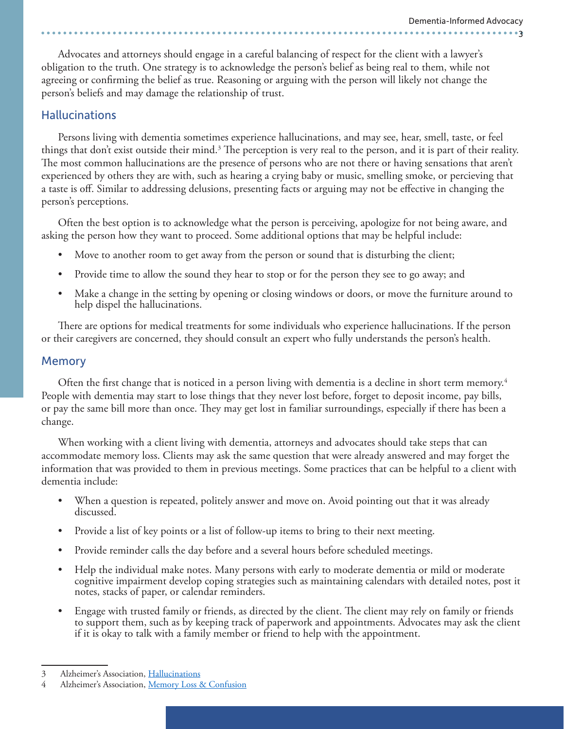Advocates and attorneys should engage in a careful balancing of respect for the client with a lawyer's obligation to the truth. One strategy is to acknowledge the person's belief as being real to them, while not agreeing or confirming the belief as true. Reasoning or arguing with the person will likely not change the person's beliefs and may damage the relationship of trust.

#### **Hallucinations**

Persons living with dementia sometimes experience hallucinations, and may see, hear, smell, taste, or feel things that don't exist outside their mind.<sup>3</sup> The perception is very real to the person, and it is part of their reality. The most common hallucinations are the presence of persons who are not there or having sensations that aren't experienced by others they are with, such as hearing a crying baby or music, smelling smoke, or percieving that a taste is off. Similar to addressing delusions, presenting facts or arguing may not be effective in changing the person's perceptions.

Often the best option is to acknowledge what the person is perceiving, apologize for not being aware, and asking the person how they want to proceed. Some additional options that may be helpful include:

- Move to another room to get away from the person or sound that is disturbing the client;
- Provide time to allow the sound they hear to stop or for the person they see to go away; and
- Make a change in the setting by opening or closing windows or doors, or move the furniture around to help dispel the hallucinations.

There are options for medical treatments for some individuals who experience hallucinations. If the person or their caregivers are concerned, they should consult an expert who fully understands the person's health.

#### **Memory**

Often the first change that is noticed in a person living with dementia is a decline in short term memory.<sup>4</sup> People with dementia may start to lose things that they never lost before, forget to deposit income, pay bills, or pay the same bill more than once. They may get lost in familiar surroundings, especially if there has been a change.

When working with a client living with dementia, attorneys and advocates should take steps that can accommodate memory loss. Clients may ask the same question that were already answered and may forget the information that was provided to them in previous meetings. Some practices that can be helpful to a client with dementia include:

- When a question is repeated, politely answer and move on. Avoid pointing out that it was already discussed.
- Provide a list of key points or a list of follow-up items to bring to their next meeting.
- Provide reminder calls the day before and a several hours before scheduled meetings.
- Help the individual make notes. Many persons with early to moderate dementia or mild or moderate cognitive impairment develop coping strategies such as maintaining calendars with detailed notes, post it notes, stacks of paper, or calendar reminders.
- Engage with trusted family or friends, as directed by the client. The client may rely on family or friends to support them, such as by keeping track of paperwork and appointments. Advocates may ask the client if it is okay to talk with a family member or friend to help with the appointment.

<sup>3</sup> Alzheimer's Association, [Hallucinations](https://www.alz.org/help-support/caregiving/stages-behaviors/hallucinations)

<sup>4</sup> Alzheimer's Association, [Memory Loss & Confusion](https://www.alz.org/help-support/caregiving/stages-behaviors/memory-loss-confusion)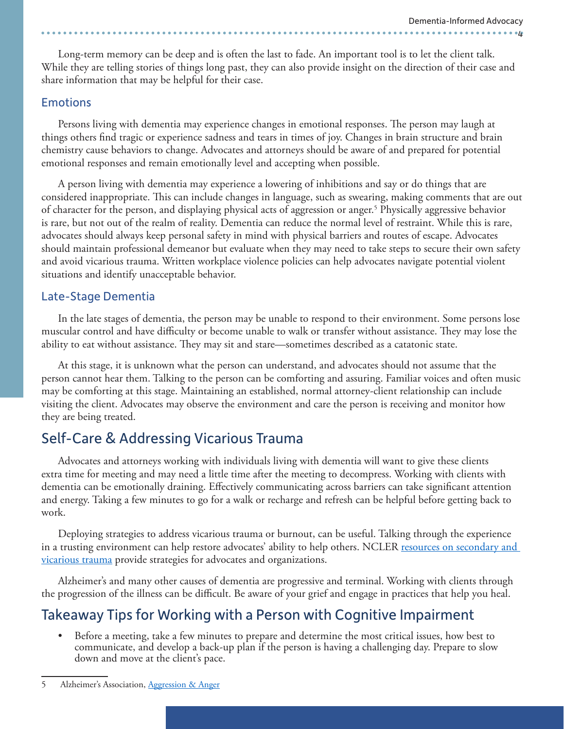Long-term memory can be deep and is often the last to fade. An important tool is to let the client talk. While they are telling stories of things long past, they can also provide insight on the direction of their case and share information that may be helpful for their case.

#### Emotions

Persons living with dementia may experience changes in emotional responses. The person may laugh at things others find tragic or experience sadness and tears in times of joy. Changes in brain structure and brain chemistry cause behaviors to change. Advocates and attorneys should be aware of and prepared for potential emotional responses and remain emotionally level and accepting when possible.

A person living with dementia may experience a lowering of inhibitions and say or do things that are considered inappropriate. This can include changes in language, such as swearing, making comments that are out of character for the person, and displaying physical acts of aggression or anger.<sup>5</sup> Physically aggressive behavior is rare, but not out of the realm of reality. Dementia can reduce the normal level of restraint. While this is rare, advocates should always keep personal safety in mind with physical barriers and routes of escape. Advocates should maintain professional demeanor but evaluate when they may need to take steps to secure their own safety and avoid vicarious trauma. Written workplace violence policies can help advocates navigate potential violent situations and identify unacceptable behavior.

#### Late-Stage Dementia

In the late stages of dementia, the person may be unable to respond to their environment. Some persons lose muscular control and have difficulty or become unable to walk or transfer without assistance. They may lose the ability to eat without assistance. They may sit and stare—sometimes described as a catatonic state.

At this stage, it is unknown what the person can understand, and advocates should not assume that the person cannot hear them. Talking to the person can be comforting and assuring. Familiar voices and often music may be comforting at this stage. Maintaining an established, normal attorney-client relationship can include visiting the client. Advocates may observe the environment and care the person is receiving and monitor how they are being treated.

### Self-Care & Addressing Vicarious Trauma

Advocates and attorneys working with individuals living with dementia will want to give these clients extra time for meeting and may need a little time after the meeting to decompress. Working with clients with dementia can be emotionally draining. Effectively communicating across barriers can take significant attention and energy. Taking a few minutes to go for a walk or recharge and refresh can be helpful before getting back to work.

Deploying strategies to address vicarious trauma or burnout, can be useful. Talking through the experience in a trusting environment can help restore advocates' ability to help others. NCLER resources on secondary and <u>vicarious trauma</u> provide strategies for advocates and organizations.

Alzheimer's and many other causes of dementia are progressive and terminal. Working with clients through the progression of the illness can be difficult. Be aware of your grief and engage in practices that help you heal.

# Takeaway Tips for Working with a Person with Cognitive Impairment

• Before a meeting, take a few minutes to prepare and determine the most critical issues, how best to communicate, and develop a back-up plan if the person is having a challenging day. Prepare to slow down and move at the client's pace.

<sup>5</sup> Alzheimer's Association, [Aggression & Anger](https://www.alz.org/help-support/caregiving/stages-behaviors/agression-anger)